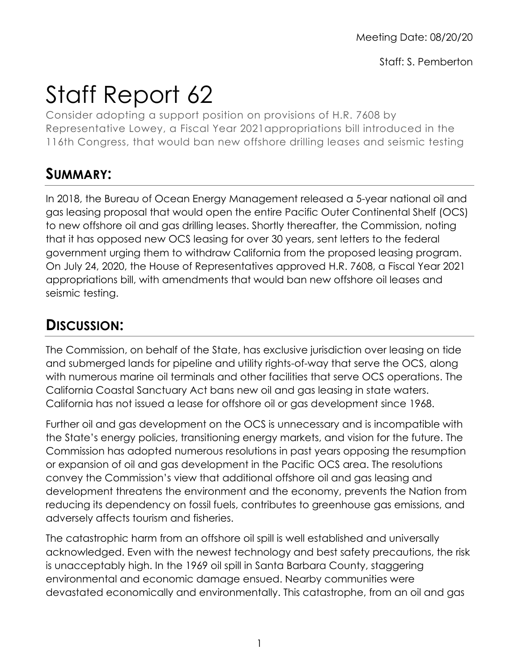Staff: S. Pemberton

## Staff Report 62

Consider adopting a support position on provisions of H.R. 7608 by Representative Lowey, a Fiscal Year 2021appropriations bill introduced in the 116th Congress, that would ban new offshore drilling leases and seismic testing

## **SUMMARY:**

In 2018, the Bureau of Ocean Energy Management released a 5-year national oil and gas leasing proposal that would open the entire Pacific Outer Continental Shelf (OCS) to new offshore oil and gas drilling leases. Shortly thereafter, the Commission, noting that it has opposed new OCS leasing for over 30 years, sent letters to the federal government urging them to withdraw California from the proposed leasing program. On July 24, 2020, the House of Representatives approved H.R. 7608, a Fiscal Year 2021 appropriations bill, with amendments that would ban new offshore oil leases and seismic testing.

## **DISCUSSION:**

The Commission, on behalf of the State, has exclusive jurisdiction over leasing on tide and submerged lands for pipeline and utility rights-of-way that serve the OCS, along with numerous marine oil terminals and other facilities that serve OCS operations. The California Coastal Sanctuary Act bans new oil and gas leasing in state waters. California has not issued a lease for offshore oil or gas development since 1968.

Further oil and gas development on the OCS is unnecessary and is incompatible with the State's energy policies, transitioning energy markets, and vision for the future. The Commission has adopted numerous resolutions in past years opposing the resumption or expansion of oil and gas development in the Pacific OCS area. The resolutions convey the Commission's view that additional offshore oil and gas leasing and development threatens the environment and the economy, prevents the Nation from reducing its dependency on fossil fuels, contributes to greenhouse gas emissions, and adversely affects tourism and fisheries.

The catastrophic harm from an offshore oil spill is well established and universally acknowledged. Even with the newest technology and best safety precautions, the risk is unacceptably high. In the 1969 oil spill in Santa Barbara County, staggering environmental and economic damage ensued. Nearby communities were devastated economically and environmentally. This catastrophe, from an oil and gas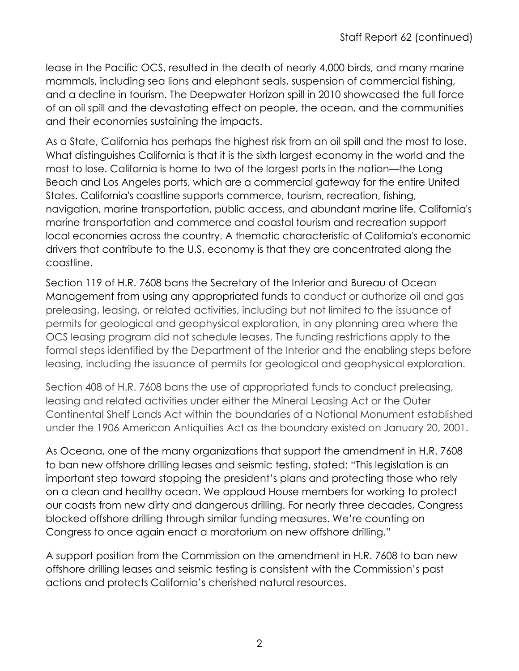lease in the Pacific OCS, resulted in the death of nearly 4,000 birds, and many marine mammals, including sea lions and elephant seals, suspension of commercial fishing, and a decline in tourism. The Deepwater Horizon spill in 2010 showcased the full force of an oil spill and the devastating effect on people, the ocean, and the communities and their economies sustaining the impacts.

As a State, California has perhaps the highest risk from an oil spill and the most to lose. What distinguishes California is that it is the sixth largest economy in the world and the most to lose. California is home to two of the largest ports in the nation—the Long Beach and Los Angeles ports, which are a commercial gateway for the entire United States. California's coastline supports commerce, tourism, recreation, fishing, navigation, marine transportation, public access, and abundant marine life. California's marine transportation and commerce and coastal tourism and recreation support local economies across the country. A thematic characteristic of California's economic drivers that contribute to the U.S. economy is that they are concentrated along the coastline.

Section 119 of H.R. 7608 bans the Secretary of the Interior and Bureau of Ocean Management from using any appropriated funds to conduct or authorize oil and gas preleasing, leasing, or related activities, including but not limited to the issuance of permits for geological and geophysical exploration, in any planning area where the OCS leasing program did not schedule leases. The funding restrictions apply to the formal steps identified by the Department of the Interior and the enabling steps before leasing, including the issuance of permits for geological and geophysical exploration.

Section 408 of H.R. 7608 bans the use of appropriated funds to conduct preleasing, leasing and related activities under either the Mineral Leasing Act or the Outer Continental Shelf Lands Act within the boundaries of a National Monument established under the 1906 American Antiquities Act as the boundary existed on January 20, 2001.

As Oceana, one of the many organizations that support the amendment in H.R. 7608 to ban new offshore drilling leases and seismic testing, stated: "This legislation is an important step toward stopping the president's plans and protecting those who rely on a clean and healthy ocean. We applaud House members for working to protect our coasts from new dirty and dangerous drilling. For nearly three decades, Congress blocked offshore drilling through similar funding measures. We're counting on Congress to once again enact a moratorium on new offshore drilling."

A support position from the Commission on the amendment in H.R. 7608 to ban new offshore drilling leases and seismic testing is consistent with the Commission's past actions and protects California's cherished natural resources.